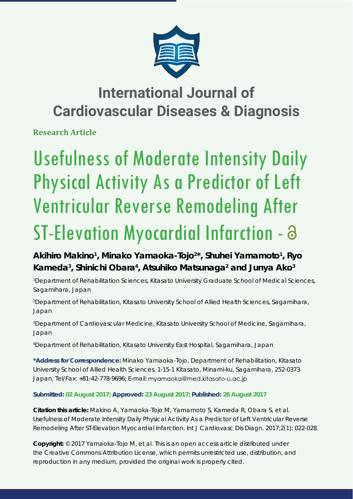

## **International Journal of Cardiovascular Diseases & Diagnosis**

**Research Article**

# Usefulness of Moderate Intensity Daily Physical Activity As a Predictor of Left Ventricular Reverse Remodeling After ST-Elevation Myocardial Infarction - a

Akihiro Makino<sup>1</sup>, Minako Yamaoka-Tojo<sup>2\*</sup>, Shuhei Yamamoto<sup>1</sup>, Ryo Kameda<sup>3</sup>, Shinichi Obara<sup>4</sup>, Atsuhiko Matsunaga<sup>2</sup> and Junya Ako<sup>3</sup>

*1 Department of Rehabilitation Sciences, Kitasato University Graduate School of Medical Sciences, Sagamihara, Japan*

*2 Department of Rehabilitation, Kitasato University School of Allied Health Sciences, Sagamihara, Japan*

*3 Department of Cardiovascular Medicine, Kitasato University School of Medicine, Sagamihara, Japan*

*4 Department of Rehabilitation, Kitasato University East Hospital, Sagamihara, Japan*

**\*Address for Correspondence:** Minako Yamaoka-Tojo, Department of Rehabilitation, Kitasato University School of Allied Health Sciences. 1-15-1 Kitasato, Minami-ku, Sagamihara, 252-0373 Japan, Tel/Fax: +81-42-778-9696; E-mail: myamaoka@med.kitasato-u.ac.jp

**Submitted: 02 August 2017; Approved: 23 August 2017; Published: 26 August 2017**

**Citation this article:** Makino A, Yamaoka-Tojo M, Yamamoto S, Kameda R, Obara S, et al. Usefulness of Moderate Intensity Daily Physical Activity As a Predictor of Left Ventricular Reverse Remodeling After ST-Elevation Myocardial Infarction. Int J Cardiovasc Dis Diagn. 2017;2(1): 022-028.

**Copyright:** © 2017 Yamaoka-Tojo M, et al. This is an open access article distributed under the Creative Commons Attribution License, which permits unrestricted use, distribution, and reproduction in any medium, provided the original work is properly cited.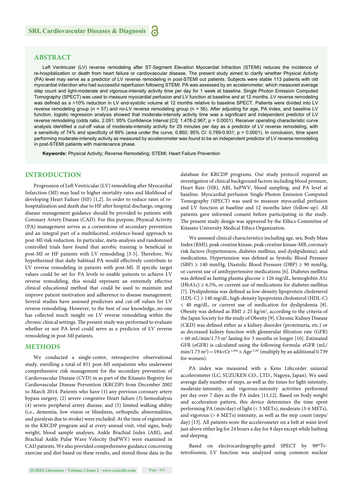#### **ABSTRACT**

Left Ventricular (LV) reverse remodeling after ST-Segment Elevation Myocardial Infraction (STEMI) reduces the incidence of re-hospitalization or death from heart failure or cardiovascular disease. The present study aimed to clarify whether Physical Activity (PA) level may serve as a predictor of LV reverse remodeling in post-STEMI out patients. Subjects were stable 113 patients with old myocardial infarction who had successful reperfusion following STEMI. PA was assessed by an accelerometer, which measured average step count and light-moderate and vigorous-intensity activity time per day for 1 week at baseline. Single Photon Emission Computed Tomography (SPECT) was used to measure myocardial perfusion and LV function at baseline and at 12 months. LV reverse remodeling was defined as a >10% reduction in LV end-systolic volume at 12 months relative to baseline SPECT. Patients were divided into LV reverse remodeling group (n = 57) and no-LV reverse remodeling group (n = 56). After adjusting for age, PA index, and baseline LV function, logistic regression analysis showed that moderate-intensity activity time was a significant and independent predictor of LV reverse remodeling (odds ratio, 2.091; 95% Confidence Interval [CI]: 1.476-2.967; p = 0.0001). Receiver operating characteristic curve analysis identified a cut-off value of moderate-intensity activity for 29 minutes per day as a predictor of LV reverse remodeling, with a sensitivity of 74% and specificity of 89% (area under the curve, 0.860; 95% CI: 0.789-0.931;  $p = 0.0001$ ). In conclusion, time spent performing moderate-intensity activity as measured by accelerometer was found to be an independent predictor of LV reverse remodeling in post-STEMI patients with maintenance phase.

**Keywords:** Physical Activity; Reverse Remodeling; STEMI; Heart Failure Prevention

#### **INTRODUCTION**

Progression of Left Ventricular (LV) remodeling after Myocardial Infarction (MI) may lead to higher mortality rates and likelihood of developing Heart Failure (HF) [1,2]. In order to reduce rates of rehospitalization and death due to HF after hospital discharge, ongoing disease management guidance should be provided to patients with Coronary Artery Disease (CAD). For this purpose, Physical Activity (PA) management serves as a cornerstone of secondary prevention and an integral part of a multifaceted, evidence-based approach to post-MI risk reduction. In particular, meta-analysis and randomized controlled trials have found that aerobic training is beneficial in post-MI or HF patients with LV remodeling [3-5]. Therefore, We hypothesized that daily habitual PA would effectively contribute to LV reverse remodeling in patients with post-MI. If specific target values could be set for PA levels to enable patients to achieve LV reverse remodeling, this would represent an extremely effective clinical educational method that could be used to maintain and improve patient motivation and adherence to disease management. Several studies have assessed predictors and cut-off values for LV reverse remodeling. However, to the best of our knowledge, no one has collected much insight on LV reverse remodeling within the chronic clinical settings. The present study was performed to evaluate whether or not PA level could serve as a predictor of LV reverse remodeling in post-MI patients.

#### **METHODS**

We conducted a single-center, retrospective observational study, enrolling a total of 851 post-MI outpatients who underwent comprehensive risk management for the secondary prevention of Cardiovascular Disease (CVD) in as part of the Kitasato Registry for Cardiovascular Disease Prevention (KRCDP) from December 2002 to March 2014. Patients who have (1) any previous coronary artery bypass surgery, (2) severe congestive Heart failure (3) hemodialysis (4) severe peripheral artery disease, and (5) limited walking ability (i.e., dementia, low vision or blindness, orthopedic abnormalities, and paralysis due to stroke) were excluded. At the time of registration in the KRCDP program and at every annual visit, vital signs, body weight, blood sample analyses, Ankle Brachial Index (ABI), and Brachial Ankle Pulse Wave Velocity (baPWV) were examined in CAD patients. We also provided comprehensive guidance concerning exercise and diet based on these results, and stored those data in the database for KRCDP programs. Our study protocol required an investigation of clinical background factors including blood pressure, Heart Rate (HR), ABI, baPWV, blood sampling, and PA level at baseline. Myocardial perfusion Single-Photon Emission Computed Tomography (SPECT) was used to measure myocardial perfusion and LV function at baseline and 12 months later (follow-up). All patients gave informed consent before participating in the study. The present study design was approved by the Ethics Committee of Kitasato University Medical Ethics Organization.

We assessed clinical characteristics including age, sex, Body Mass Index (BMI), peak creatine kinase, peak creatine kinase-MB, coronary risk factors (hypertension, diabetes mellitus, and dyslipidemia), and medications. Hypertension was defined as Systolic Blood Pressure (SBP) ≥ 140 mmHg, Diastolic Blood Pressure (DBP) ≥ 90 mmHg, or current use of antihypertensive medications [6]. Diabetes mellitus was defined as fasting plasma glucose  $\geq 126$  mg/dL, hemoglobin A1c  $(HbA1c) \ge 6.5\%$ , or current use of medications for diabetes mellitus [7]. Dyslipidemia was defined as low-density lipoprotein cholesterol (LDL-C) ≥ 140 mg/dL, high-density lipoprotein cholesterol (HDL-C) < 40 mg/dL, or current use of medication for dyslipidemia [8]. Obesity was defined as BMI  $\geq$  25 kg/m<sup>2</sup>, according to the criteria of the Japan Society for the study of Obesity [9]. Chronic Kidney Disease (CKD) was defined either as a kidney disorder (proteinuria, etc.) or as decreased kidney function with glomerular filtration rate (GFR)  $<$  60 mL/min/1.73 m<sup>2</sup> lasting for 3 months or longer [10]. Estimated GFR (eGFR) is calculated using the following formula: eGFR (mL/ min/1.73 m<sup>2</sup>) =  $194 \times Cr^{1.094} \times Age^{-0.287}$  (multiply by an additional 0.739 for women).

PA index was measured with a Kens Lifecorder uniaxial accelerometer (LC; SUZUKEN CO., LTD., Nagoya, Japan). We used average daily number of steps, as well as the times for light-intensity, moderate-intensity, and vigorous-intensity activities performed per day over 7 days as the PA index [11,12]. Based on body weight and acceleration pattern, this device determines the time spent performing PA (min/day) of light (< 3 METs), moderate (3-6 METs), and vigorous (> 6 METs) intensity, as well as the step count (steps/ day) [13]. All patients wore the accelerometer on a belt at waist level just above either leg for 24 hours a day for 8 days except while bathing and sleeping.

Based on electrocardiography-gated SPECT by 99mTctetrofosmin, LV function was analyzed using common nuclear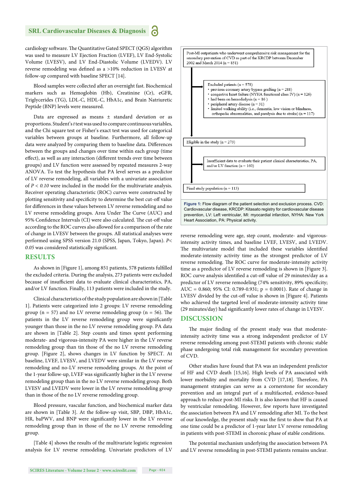cardiology software. The Quantitative Gated SPECT (QGS) algorithm was used to measure LV Ejection Fraction (LVEF), LV End-Systolic Volume (LVESV), and LV End-Diastolic Volume (LVEDV). LV reverse remodeling was defined as a >10% reduction in LVESV at follow-up compared with baseline SPECT [14].

Blood samples were collected after an overnight fast. Biochemical markers such as Hemoglobin (Hb), Creatinine (Cr), eGFR, Triglycerides (TG), LDL-C, HDL-C, HbA1c, and Brain Natriuretic Peptide (BNP) levels were measured.

Data are expressed as means ± standard deviation or as proportions. Student's *t* test was used to compare continuous variables, and the Chi square test or Fisher's exact test was used for categorical variables between groups at baseline. Furthermore, all follow-up data were analyzed by comparing them to baseline data. Differences between the groups and changes over time within each group (time effect), as well as any interaction (different trends over time between groups) and LV function were assessed by repeated measures 2-way ANOVA. To test the hypothesis that PA level serves as a predictor of LV reverse remodeling, all variables with a univariate association of *P < 0.10* were included in the model for the multivariate analysis. Receiver operating characteristic (ROC) curves were constructed by plotting sensitivity and specificity to determine the best cut-off value for differences in these values between LV reverse remodeling and no LV reverse remodeling groups. Area Under The Curve (AUC) and 95% Confidence Intervals (CI) were also calculated. The cut-off value according to the ROC curves also allowed for a comparison of the rate of change in LVESV between the groups. All statistical analyses were performed using SPSS version 21.0 (SPSS, Japan, Tokyo, Japan). *P<*  0.05 was considered statistically significant.

#### **RESULTS**

As shown in [Figure 1], among 851 patients, 578 patients fulfilled the excluded criteria. During the analysis, 273 patients were excluded because of insufficient data to evaluate clinical characteristics, PA, and/or LV function. Finally, 113 patients were included in the study.

Clinical characteristics of the study population are shown in [Table 1]. Patients were categorized into 2 groups: LV reverse remodeling group ( $n = 57$ ) and no LV reverse remodeling group ( $n = 56$ ). The patients in the LV reverse remodeling group were significantly younger than those in the no LV reverse remodeling group. PA data are shown in [Table 2]. Step counts and times spent performing moderate- and vigorous-intensity PA were higher in the LV reverse remodeling group than tin those of the no LV reverse remodeling group. [Figure 2], shows changes in LV function by SPECT. At baseline, LVEF, LVESV, and LVEDV were similar in the LV reverse remodeling and no-LV reverse remodeling groups. At the point of the 1-year follow-up, LVEF was significantly higher in the LV reverse remodeling group than in the no LV reverse remodeling group. Both LVESV and LVEDV were lower in the LV reverse remodeling group than in those of the no LV reverse remodeling group.

Blood pressure, vascular function, and biochemical marker data are shown in [Table 3]. At the follow-up visit, SBP, DBP, HbA1c, HR, baPWV, and BNP were significantly lower in the LV reverse remodeling group than in those of the no LV reverse remodeling group.

[Table 4] shows the results of the multivariate logistic regression analysis for LV reverse remodeling. Univariate predictors of LV



reverse remodeling were age, step count, moderate- and vigorousintensity activity times, and baseline LVEF, LVESV, and LVEDV. The multivariate model that included these variables identified moderate-intensity activity time as the strongest predictor of LV reverse remodeling. The ROC curve for moderate-intensity activity time as a predictor of LV reverse remodeling is shown in [Figure 3]. ROC curve analysis identified a cut-off value of 29 minutes/day as a predictor of LV reverse remodeling (74% sensitivity, 89% specificity; AUC = 0.860; 95% CI: 0.789-0.931; p = 0.0001). Rate of change in LVESV divided by the cut-off value is shown in [Figure 4]. Patients who achieved the targeted level of moderate-intensity activity time (29 minutes/day) had significantly lower rates of change in LVESV.

#### **DISCUSSION**

The major finding of the present study was that moderateintensity activity time was a strong independent predictor of LV reverse remodeling among post-STEMI patients with chronic stable phase undergoing total risk management for secondary prevention of CVD.

Other studies have found that PA was an independent predictor of HF and CVD death [15,16]. High levels of PA associated with lower morbidity and mortality from CVD [17,18]. Therefore, PA management strategies can serve as a cornerstone for secondary prevention and an integral part of a multifaceted, evidence-based approach to reduce post-MI risks. It is also known that HF is caused by ventricular remodeling. However, few reports have investigated the association between PA and LV remodeling after MI. To the best of our knowledge, the present study was the first to show that PA at one time could be a predictor of 1-year later LV reverse remodeling in patients with post-STEMI in choronic phase of stable conditions.

The potential mechanism underlying the association between PA and LV reverse remodeling in post-STEMI patients remains unclear.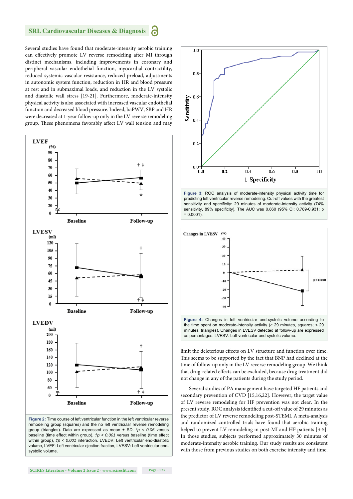Several studies have found that moderate-intensity aerobic training can effectively promote LV reverse remodeling after MI through distinct mechanisms, including improvements in coronary and peripheral vascular endothelial function, myocardial contractility, reduced systemic vascular resistance, reduced preload, adjustments in autonomic system function, reduction in HR and blood pressure at rest and in submaximal loads, and reduction in the LV systolic and diastolic wall stress [19-21]. Furthermore, moderate-intensity physical activity is also associated with increased vascular endothelial function and decreased blood pressure. Indeed, baPWV, SBP and HR were decreased at 1-year follow-up only in the LV reverse remodeling group. These phenomena favorably affect LV wall tension and may



remodeling group (squares) and the no left ventricular reverse remodeling group (triangles). Data are expressed as mean ± SD. *\*p < 0.05* versus baseline (time effect within group), *†p < 0.001* versus baseline (time effect within group),  $tp < 0.001$  interaction. LVEDV: Left ventricular end-diastolic volume, LVEF: Left ventricular ejection fraction, LVESV: Left ventricular endsystolic volume.



**Figure 3:** ROC analysis of moderate-intensity physical activity time for predicting left ventricular reverse remodeling. Cut-off values with the greatest sensitivity and specificity: 29 minutes of moderate-intensity activity (74% sensitivity, 89% specificity). The AUC was 0.860 (95% CI: 0.789-0.931; p  $= 0.0001$ 



limit the deleterious effects on LV structure and function over time. This seems to be supported by the fact that BNP had declined at the time of follow-up only in the LV reverse remodeling group. We think that drug-related effects can be excluded, because drug treatment did not change in any of the patients during the study period.

Several studies of PA management have targeted HF patients and secondary prevention of CVD [15,16,22]. However, the target value of LV reverse remodeling for HF prevention was not clear. In the present study, ROC analysis identified a cut-off value of 29 minutes as the predictor of LV reverse remodeling post-STEMI. A meta-analysis and randomized controlled trials have found that aerobic training helped to prevent LV remodeling in post-MI and HF patients [3-5]. In those studies, subjects performed approximately 30 minutes of moderate-intensity aerobic training. Our study results are consistent with those from previous studies on both exercise intensity and time.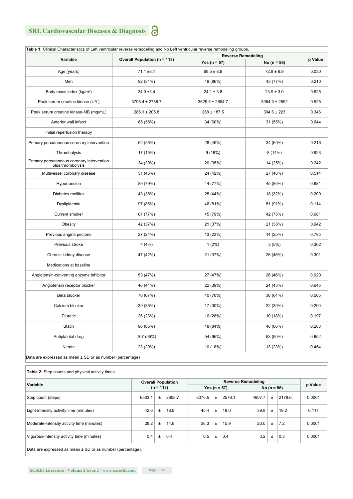| Variable                                                        | <b>Overall Population (n = 113)</b> | <b>Reverse Remodeling</b> |                                   |       |  |
|-----------------------------------------------------------------|-------------------------------------|---------------------------|-----------------------------------|-------|--|
|                                                                 |                                     | Yes ( $n = 57$ )          | p Value                           |       |  |
| Age (years)                                                     | $71.1 \pm 8.1$                      | $69.5 \pm 8.9$            | No ( $n = 56$ )<br>$72.8 \pm 6.9$ | 0.030 |  |
|                                                                 |                                     |                           |                                   |       |  |
| Men                                                             | 92 (81%)                            | 49 (86%)                  | 43 (77%)                          | 0.210 |  |
| Body mass index (kg/m <sup>2</sup> )                            | $24.0 \pm 3.4$                      | $24.1 \pm 3.8$            | $23.9 \pm 3.0$                    | 0.826 |  |
| Peak serum creatine kinase (U/L)                                | $3795.4 \pm 2786.7$                 | $3629.5 \pm 2694.7$       | 3964.3 ± 2892                     | 0.525 |  |
| Peak serum creatine kinase-MB (mg/mL)                           | $286.1 \pm 205.8$                   | $268 \pm 187.5$           | $304.6 \pm 223$                   | 0.346 |  |
| Anterior wall infarct                                           | 65 (58%)                            | 34 (60%)                  | 31 (55%)                          | 0.644 |  |
| Initial reperfusion therapy                                     |                                     |                           |                                   |       |  |
| Primary percutaneous coronary intervention                      | 62 (55%)                            | 28 (49%)                  | 34 (60%)                          | 0.216 |  |
| Thrombolysis                                                    | 17 (15%)                            | 9(16%)                    | 8(14%)                            | 0.823 |  |
| Primary percutaneous coronary intervention<br>plus thrombolysis | 34 (30%)                            | 20 (35%)                  | 14 (25%)                          | 0.242 |  |
| Multivessel coronary disease                                    | 51 (45%)                            | 24 (42%)                  | 27 (48%)                          | 0.514 |  |
| Hypertension                                                    | 89 (79%)                            | 44 (77%)                  | 45 (80%)                          | 0.681 |  |
| Diabetes mellitus                                               | 43 (38%)                            | 25 (44%)                  | 18 (32%)                          | 0.200 |  |
| Dyslipidemia                                                    | 97 (86%)                            | 46 (81%)                  | 51 (91%)                          | 0.114 |  |
| Current smoker                                                  | 87 (77%)                            | 45 (79%)                  | 42 (75%)                          | 0.681 |  |
| Obesity                                                         | 42 (37%)                            | 21 (37%)                  | 21 (38%)                          | 0.942 |  |
| Previous angina pectoris                                        | 27 (24%)                            | 13 (23%)                  | 14 (25%)                          | 0.785 |  |
| Previous stroke                                                 | 4(4%)                               | $1(2\%)$                  | 3(5%)                             | 0.302 |  |
| Chronic kidney disease                                          | 47 (42%)                            | 21 (37%)                  | 26 (46%)                          | 0.301 |  |
| Medications at baseline                                         |                                     |                           |                                   |       |  |
| Angiotensin-converting enzyme inhibitor                         | 53 (47%)                            | 27 (47%)                  | 26 (46%)                          | 0.920 |  |
| Angiotensin receptor blocker                                    | 46 (41%)                            | 22 (39%)                  | 24 (43%)                          | 0.645 |  |
| Beta blocker                                                    | 76 (67%)                            | 40 (70%)                  | 36 (64%)                          | 0.505 |  |
| Calcium blocker                                                 | 39 (35%)                            | 17 (30%)                  | 22 (39%)                          | 0.290 |  |
| Diuretic                                                        | 26 (23%)                            | 16 (28%)                  | 10 (18%)                          | 0.197 |  |
| Statin                                                          | 96 (85%)                            | 48 (84%)                  | 48 (86%)                          | 0.283 |  |
| Antiplatelet drug                                               | 107 (95%)                           | 54 (95%)                  | 53 (95%)                          | 0.652 |  |
| Nitrate                                                         | 23 (20%)                            | 10 (18%)                  | 13 (23%)                          | 0.454 |  |
| Data are expressed as mean ± SD or as number (percentage)       |                                     |                           |                                   |       |  |

**Table 2:** Step counts and physical activity times.

| Variable                                   | <b>Overall Population</b><br>$(n = 113)$ |       | <b>Reverse Remodeling</b> |        |                 |        |        | p Value |        |        |
|--------------------------------------------|------------------------------------------|-------|---------------------------|--------|-----------------|--------|--------|---------|--------|--------|
|                                            |                                          |       | Yes ( $n = 57$ )          |        | No ( $n = 56$ ) |        |        |         |        |        |
| Step count (steps)                         | 6503.1                                   | $\pm$ | 2858.7                    | 8070.5 | $\pm$           | 2576.1 | 4907.7 | $\pm$   | 2178.6 | 0.0001 |
| Light-intensity activity time (minutes)    | 42.6                                     | $\pm$ | 18.8                      | 45.4   | $\pm$           | 18.0   | 39.8   | $\pm$   | 19.2   | 0.117  |
| Moderate-intensity activity time (minutes) | 28.2                                     | $\pm$ | 14.8                      | 36.3   | Ŧ.              | 15.9   | 20.0   | Ŧ.      | 7.2    | 0.0001 |
| Vigorous-intensity activity time (minutes) | 0.4                                      | $\pm$ | 0.4                       | 0.5    | Ŧ.              | 0.4    | 0.2    | Ŧ       | 0.3    | 0.0001 |
|                                            |                                          |       |                           |        |                 |        |        |         |        |        |

Data are expressed as mean ± SD or as number (percentage).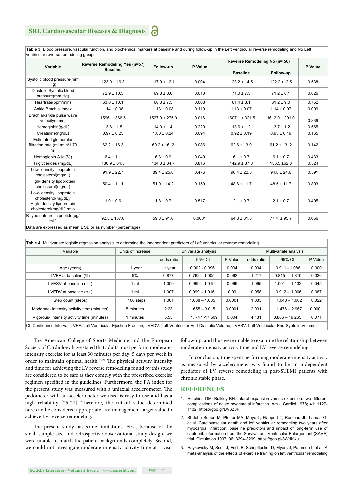**Table 3:** Blood pressure, vascular function, and biochemical markers at baseline and during follow-up in the Left ventricular reverse remodeling and No Left ventricular reverse remodeling groups.

| Variable                                                                                                 | Reverse Remodeling Yes (n=57)<br><b>Baseline</b>              | Follow-up          | P Value | Reverse Remodeling No (n= 56) | P Value            |       |
|----------------------------------------------------------------------------------------------------------|---------------------------------------------------------------|--------------------|---------|-------------------------------|--------------------|-------|
|                                                                                                          |                                                               |                    |         | <b>Baseline</b>               | Follow-up          |       |
| Systolic blood pressure(mm<br>Hq)                                                                        | $123.0 \pm 16.3$                                              | $117.9 \pm 12.1$   | 0.004   | $123.2 \pm 14.5$              | $122.2 \pm 12.5$   | 0.538 |
| Diastolic Systolic blood<br>pressure(mm Hg)                                                              | $72.9 \pm 10.5$                                               | $69.8 \pm 8.6$     | 0.013   | $71.0 \pm 7.5$                | $71.2 \pm 8.1$     | 0.826 |
| Heartrate(bpm/min)                                                                                       | $63.0 \pm 10.1$                                               | $60.3 \pm 7.5$     | 0.008   | $61.4 \pm 8.1$                | $61.2 \pm 9.0$     | 0.752 |
| Ankle Brachial index                                                                                     | $1.14 \pm 0.08$                                               | $1.13 \pm 0.08$    | 0.110   | $1.13 \pm 0.07$               | $1.14 \pm 0.07$    | 0.099 |
| Brachial-ankle pulse wave<br>velocity(cm/s)                                                              | 1596.1±366.5                                                  | $1527.9 \pm 275.0$ | 0.016   | $1607.1 \pm 321.5$            | $1612.0 \pm 291.0$ | 0.839 |
| Hemoglobin(q/dL)                                                                                         | $13.8 \pm 1.5$                                                | $14.0 \pm 1.4$     | 0.229   | $13.6 \pm 1.2$                | $13.7 \pm 1.2$     | 0.565 |
| Creatinine(ng/dL)                                                                                        | $0.97 \pm 0.25$                                               | $1.00 \pm 0.24$    | 0.094   | $0.92 \pm 0.19$               | $0.93 \pm 0.19$    | 0.165 |
| Estimated glomerular<br>filtration rate (mL/min/1.73<br>m <sup>2</sup>                                   | $62.2 \pm 16.3$                                               | $60.2 \pm 16.2$    | 0.086   | $62.6 \pm 13.9$               | $61.2 \pm 13.2$    | 0.142 |
| Hemoglobin A1c (%)                                                                                       | $6.4 \pm 1.1$                                                 | $6.3 \pm 0.9$      | 0.040   | $6.1 \pm 0.7$                 | $6.1 \pm 0.7$      | 0.433 |
| Triglycerides (mg/dL)                                                                                    | $130.9 \pm 84.5$                                              | $134.0 \pm 84.7$   | 0.816   | $142.9 \pm 87.8$              | 136.5 ±62.8        | 0.524 |
| Low- density lipoprotein<br>cholesterol(mg/dL)                                                           | $91.9 \pm 22.7$                                               | $89.4 \pm 25.8$    | 0.476   | $96.4 \pm 22.5$               | $94.8 \pm 24.6$    | 0.591 |
| High- density lipoprotein<br>cholesterol(mg/dL)                                                          | $50.4 \pm 11.1$                                               | $51.9 \pm 14.2$    | 0.159   | $48.6 \pm 11.7$               | $48.5 \pm 11.7$    | 0.893 |
| Low- density lipoprotein<br>cholesterol(mg/dL)/<br>High- density lipoprotein<br>cholesterol(mg/dL) ratio | $1.9 \pm 0.6$                                                 | $1.8 \pm 0.7$      | 0.517   | $2.1 \pm 0.7$                 | $2.1 \pm 0.7$      | 0.495 |
| B-type natriuretic peptide(pg/<br>mL                                                                     | $92.3 \pm 137.6$                                              | $59.8 \pm 91.0$    | 0.0001  | $64.8 \pm 81.5$               | $77.4 \pm 95.7$    | 0.056 |
|                                                                                                          | Data are expressed as mean $\pm$ SD or as number (percentage) |                    |         |                               |                    |       |

**Table 4:** Multivariate logistic regression analysis to determine the independent predictors of Left ventricular reverse remodeling.

| <b>. were in montranal regrete regressions in any fourte to accommit the macpointent productors or East remindent reverse removement</b>                      |                   |            |                     |         |                       |                  |         |  |  |
|---------------------------------------------------------------------------------------------------------------------------------------------------------------|-------------------|------------|---------------------|---------|-----------------------|------------------|---------|--|--|
| Variable                                                                                                                                                      | Units of increase |            | Univariate analysis |         | Multivariate analysis |                  |         |  |  |
|                                                                                                                                                               |                   | odds ratio | 95% CI              | P Value | odds ratio            | 95% CI           | P Value |  |  |
| Age (years)                                                                                                                                                   | 1 year            | l year     | $0.902 - 0.996$     | 0.034   | 0.994                 | $0.911 - 1.086$  | 0.900   |  |  |
| LVEF at baseline (%)                                                                                                                                          | 5%                | 0.877      | $0.762 - 1.005$     | 0.062   | 1.217                 | $0.815 - 1.810$  | 0.336   |  |  |
| LVESV at baseline (mL)                                                                                                                                        | 1 mL              | 1.009      | $0.999 - 1.019$     | 0.069   | 1.065                 | $1.001 - 1.132$  | 0.045   |  |  |
| LVEDV at baseline (mL)                                                                                                                                        | 1 mL              | 1.007      | $0.999 - 1.016$     | 0.09    | 0.958                 | $0.912 - 1.006$  | 0.087   |  |  |
| Step count (steps)                                                                                                                                            | 100 steps         | 1.061      | $1.038 - 1.085$     | 0.0001  | 1.033                 | $1.048 - 1.062$  | 0.022   |  |  |
| Moderate- intensity activity time (minutes)                                                                                                                   | 5 minutes         | 2.23       | $1.655 - 3.015$     | 0.0001  | 2.091                 | $1.476 - 2.967$  | 0.0001  |  |  |
| Vigorous- intensity activity time (minutes)                                                                                                                   | 1 minutes         | 5.53       | 1.747-17.509        | 0.004   | 4.131                 | $0.886 - 19.265$ | 0.071   |  |  |
| CI: Confidence Interval, LVEF: Left Ventricular Ejection Fraction, LVEDV: Left Ventricular End-Diastolic Volume, LVESV: Left Ventricular End-Syotolic Volume. |                   |            |                     |         |                       |                  |         |  |  |

The American College of Sports Medicine and the European Society of Cardiology have stated that adults must perform moderateintensity exercise for at least 30 minutes per day, 5 days per week in order to maintain optimal health.<sup>23,24</sup> The physical activity intensity and time for achieving the LV reverse remodeling found by this study are considered to be safe as they comply with the prescribed exercise regimen specified in the guidelines. Furthermore, the PA index for the present study was measured with a uniaxial accelerometer. The pedometer with an accelerometer we used is easy to use and has a high reliability [25-27]. Therefore, the cut-off value determined here can be considered appropriate as a management target value to achieve LV reverse remodeling.

The present study has some limitations. First, because of the small sample size and retrospective observational study design, we were unable to match the patient backgrounds completely. Second, we could not investigate moderate-intensity activity time at 1-year

follow-up, and thus were unable to examine the relationship between moderate-intensity activity time and LV reverse remodeling.

In conclusion, time spent performing moderate-intensity activity as measured by accelerometer was found to be an independent predictor of LV reverse remodeling in post-STEMI patients with chronic stable phase.

#### **REFERENCES**

- 1. Hutchins GM, Bulkley BH. Infarct expansion versus extension: two different complications of acute myocardial infarction. Am J Cardiol 1978; 41: 1127- 1132. https://goo.gl/DV6Z8P
- 2. St John Sutton M, Pfeffer MA, Moye L, Plappert T, Rouleau JL, Lamas G, et al. Cardiovascular death and left ventricular remodeling two years after myocardial infarction: baseline predictors and impact of long-term use of captopril: information from the Survival and Ventricular Enlargement (SAVE) trial. Circulation 1997; 96: 3294-3299. https://goo.gl/8WdKKu
- 3. Haykowsky M, Scott J, Esch B, Schopflocher D, Myers J, Paterson I, et al. A meta-analysis of the effects of exercise training on left ventricular remodeling